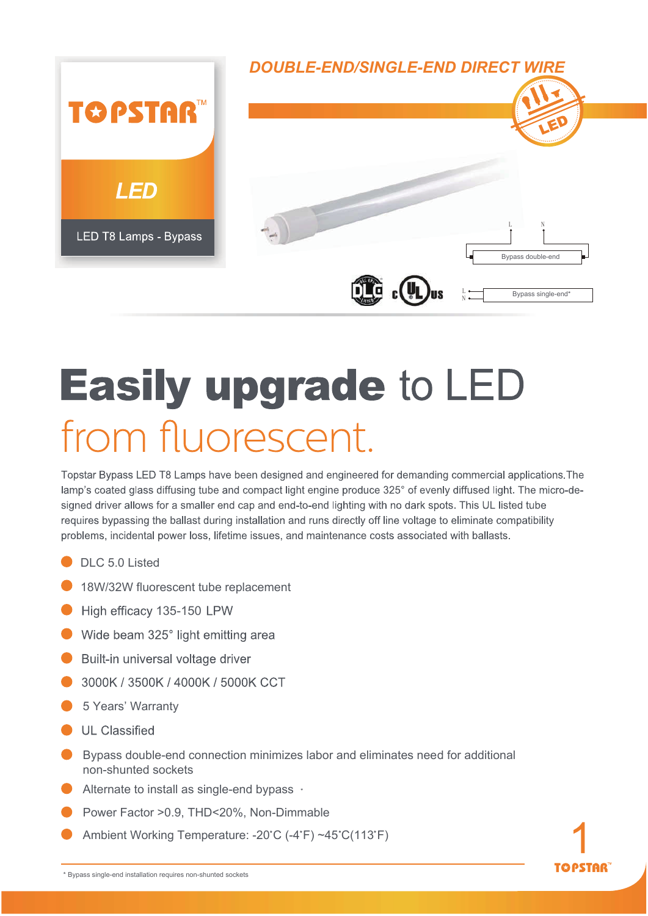

## **Easily upgrade to LED** from fluorescent.

Topstar Bypass LED T8 Lamps have been designed and engineered for demanding commercial applications. The lamp's coated glass diffusing tube and compact light engine produce 325° of evenly diffused light. The micro-designed driver allows for a smaller end cap and end-to-end lighting with no dark spots. This UL listed tube requires bypassing the ballast during installation and runs directly off line voltage to eliminate compatibility problems, incidental power loss, lifetime issues, and maintenance costs associated with ballasts.

- DLC 5.0 Listed
- **18W/32W fluorescent tube replacement**
- High efficacy 135-150 LPW
- Wide beam 325° light emitting area
- Built-in universal voltage driver
- 3000K / 3500K / 4000K / 5000K CCT
- **6 5 Years' Warranty**
- **IL Classified**
- Bypass double-end connection minimizes labor and eliminates need for additional non-shunted sockets
- Alternate to install as single-end bypass  $\cdot$
- Power Factor >0.9, THD<20%, Non-Dimmable
- Ambient Working Temperature: -20°C (-4°F) ~45°C(113°F)



**TAPSTAR**